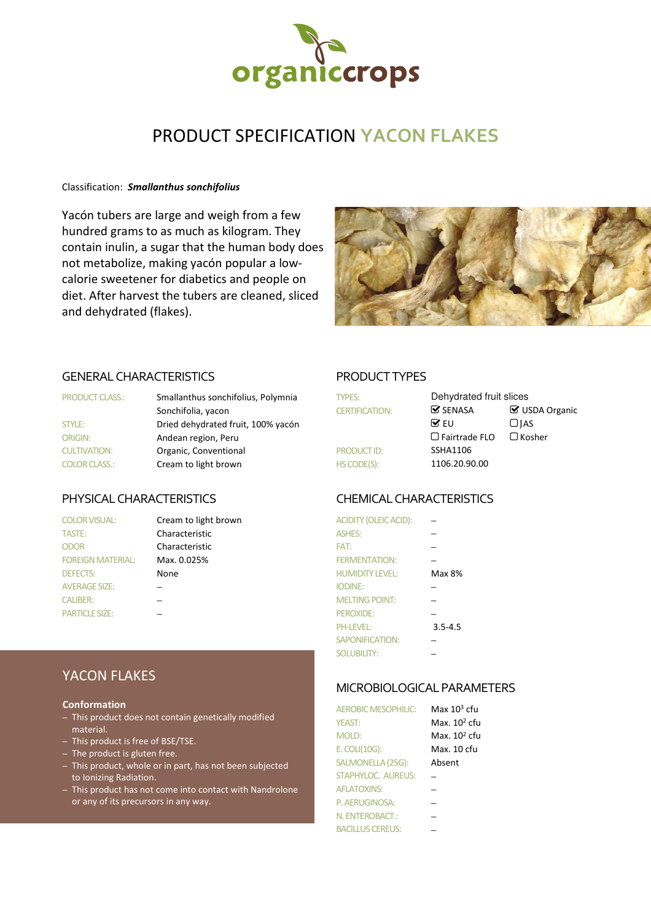

# PRODUCT SPECIFICATION **YACON FLAKES**

### Classification: *Smallanthus sonchifolius*

Yacón tubers are large and weigh from a few hundred grams to as much as kilogram. They contain inulin, a sugar that the human body does not metabolize, making yacón popular a lowcalorie sweetener for diabetics and people on diet. After harvest the tubers are cleaned, sliced and dehydrated (flakes).



### GENERAL CHARACTERISTICS PRODUCT TYPES

| <b>PRODUCT CLASS.:</b> | Smallanthus sonchifolius, Polymnia | <b>TYPES:</b>         | Dehydrated fruit slices       |                    |
|------------------------|------------------------------------|-----------------------|-------------------------------|--------------------|
|                        | Sonchifolia, yacon                 | <b>CERTIFICATION:</b> | $\mathbf{\mathcal{S}}$ SENASA | $\boxtimes$ USDA ( |
| STYLE:                 | Dried dehydrated fruit, 100% yacón |                       | $\triangledown$ FU            | $\Box$ IAS         |
| <b>ORIGIN:</b>         | Andean region, Peru                |                       | $\Box$ Fairtrade FLO          | $\Box$ Kosher      |
| <b>CULTIVATION:</b>    | Organic, Conventional              | <b>PRODUCT ID:</b>    | SSHA1106                      |                    |
| <b>COLOR CLASS.:</b>   | Cream to light brown               | HS CODE(S):           | 1106.20.90.00                 |                    |

# PHYSICAL CHARACTERISTICS CHEMICAL CHARACTERISTICS

| TYPES:                | Dehydrated fruit slices            |                       |  |
|-----------------------|------------------------------------|-----------------------|--|
| <b>CERTIFICATION:</b> | $\mathcal G$ SENASA                | <b>☑</b> USDA Organic |  |
|                       | ME∪                                | $\Box$ JAS            |  |
|                       | $\Box$ Fairtrade FLO $\Box$ Kosher |                       |  |
| <b>PRODUCT ID:</b>    | <b>SSHA1106</b>                    |                       |  |
| HS CODE(S):           | 1106.20.90.00                      |                       |  |

| <b>COLOR VISUAL:</b>     | Cream to light brown | <b>ACIDITY (OLEIC ACID):</b> |             |
|--------------------------|----------------------|------------------------------|-------------|
| TASTE:                   | Characteristic       | <b>ASHES:</b>                |             |
| <b>ODOR</b>              | Characteristic       | FAT:                         |             |
| <b>FOREIGN MATERIAL:</b> | Max. 0.025%          | <b>FERMENTATION:</b>         |             |
| <b>DEFECTS:</b>          | None                 | <b>HUMIDITY LEVEL:</b>       | Max 8%      |
| <b>AVERAGE SIZE:</b>     |                      | <b>IODINE:</b>               |             |
| <b>CALIBER:</b>          |                      | <b>MELTING POINT:</b>        |             |
| <b>PARTICLE SIZE:</b>    |                      | PEROXIDE:                    |             |
|                          |                      | <b>PH-LEVEL:</b>             | $3.5 - 4.5$ |
|                          |                      | <b>SAPONIFICATION:</b>       |             |
|                          |                      | <b>SOLUBILITY:</b>           |             |

# MICROBIOLOGICAL PARAMETERS

| <b>AEROBIC MESOPHILIC:</b> | Max 10 <sup>3</sup> cfu  |
|----------------------------|--------------------------|
| <b>YFAST:</b>              | Max. 10 <sup>2</sup> cfu |
| MOLD:                      | Max. 10 <sup>2</sup> cfu |
| E. COLI(10G):              | Max. 10 cfu              |
| SALMONELLA (25G):          | Absent                   |
| STAPHYLOC. ALIRELIS:       |                          |
| <b>AFLATOXINS:</b>         |                          |
| P. AERUGINOSA:             |                          |
| N. ENTEROBACT.:            |                          |
| <b>BACILLUS CEREUS:</b>    |                          |

# YACON FLAKES

### **Conformation**

- This product does not contain genetically modified material.
- This product is free of BSE/TSE.
- The product is gluten free.
- This product, whole or in part, has not been subjected to Ionizing Radiation.
- This product has not come into contact with Nandrolone or any of its precursors in any way.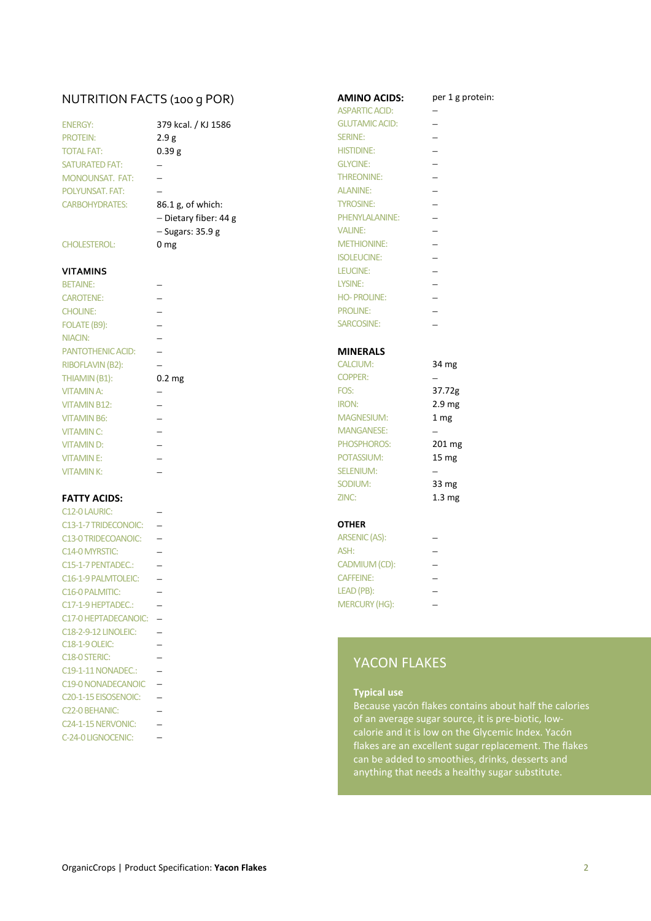# NUTRITION FACTS (100 G POR) **AMINO ACIDS:** per 1 g protein:

| <b>ENERGY:</b>         |
|------------------------|
| <b>PROTEIN:</b>        |
| <b>TOTAL FAT:</b>      |
| <b>SATURATED FAT:</b>  |
| <b>MONOUNSAT, FAT:</b> |
| POLYUNSAT, FAT:        |
| <b>CARBOHYDRATES:</b>  |

### **VITAMINS**

| <b>BETAINE:</b>          |                   | <b>LYSINE:</b>     |
|--------------------------|-------------------|--------------------|
| <b>CAROTENE:</b>         |                   | <b>HO-PROLINE:</b> |
| <b>CHOLINE:</b>          |                   | <b>PROLINE:</b>    |
| FOLATE (B9):             |                   | <b>SARCOSINE:</b>  |
| NIACIN:                  |                   |                    |
| <b>PANTOTHENIC ACID:</b> |                   | <b>MINERALS</b>    |
| RIBOFLAVIN (B2):         |                   | <b>CALCIUM:</b>    |
| THIAMIN (B1):            | 0.2 <sub>mg</sub> | <b>COPPER:</b>     |
| <b>VITAMIN A:</b>        |                   | FOS:               |
| <b>VITAMIN B12:</b>      |                   | <b>IRON:</b>       |
| <b>VITAMIN B6:</b>       |                   | <b>MAGNESIUM:</b>  |
| <b>VITAMIN C:</b>        |                   | <b>MANGANESE:</b>  |
| <b>VITAMIND:</b>         |                   | <b>PHOSPHOROS</b>  |
| <b>VITAMINE:</b>         |                   | POTASSIUM:         |
| <b>VITAMINK:</b>         |                   | <b>SELENIUM:</b>   |

| C12-0 LAURIC:                     |                       |                          |
|-----------------------------------|-----------------------|--------------------------|
| C13-1-7 TRIDECONOIC:              | <b>OTHER</b>          |                          |
| C13-0 TRIDECOANOIC:               | ARSENIC (AS):         |                          |
| C14-0 MYRSTIC:                    | ASH:                  |                          |
| C15-1-7 PENTADEC.:                | CADMIUM (CD):         |                          |
| C16-1-9 PALMTOLEIC:               | <b>CAFFEINE:</b>      | $\overline{\phantom{0}}$ |
| C <sub>16</sub> -0 PALMITIC:      | LEAD (PB):            | $\overline{\phantom{0}}$ |
| C17-1-9 HEPTADEC.:                | <b>MERCURY (HG):</b>  |                          |
| C17-0 HEPTADECANOIC:              |                       |                          |
| <b>C18-2-9-12 LINOLEIC:</b>       |                       |                          |
| <b>C18-1-9 OLEIC:</b>             |                       |                          |
| C18-0 STERIC:                     | <b>YACON FLAKE</b>    |                          |
| C19-1-11 NONADEC.:                |                       |                          |
| <b>C19-0 NONADECANOIC</b>         |                       |                          |
| C <sub>20</sub> -1-15 EISOSENOIC: | <b>Typical use</b>    |                          |
| C <sub>22</sub> -0 BEHANIC:       | Because yacón flak    |                          |
| C <sub>24</sub> -1-15 NERVONIC:   | of an average suga    |                          |
| C-24-0 LIGNOCENIC:                | calorie and it is low |                          |

| 379 kcal. / KJ 1586   |
|-----------------------|
| 2.9g                  |
| 0.39 g                |
|                       |
|                       |
|                       |
| 36.1 g, of which:     |
| - Dietary fiber: 44 g |
| – Sugars: 35.9 g      |
| ) mg                  |
|                       |
|                       |

|                         |                          | <b>ASPARTIC ACID:</b> |                          |
|-------------------------|--------------------------|-----------------------|--------------------------|
| <b>ENERGY:</b>          | 379 kcal. / KJ 1586      | <b>GLUTAMIC ACID:</b> |                          |
| <b>PROTEIN:</b>         | 2.9g                     | <b>SERINE:</b>        |                          |
| <b>TOTAL FAT:</b>       | 0.39 <sub>g</sub>        | <b>HISTIDINE:</b>     |                          |
| <b>SATURATED FAT:</b>   | $\qquad \qquad -$        | <b>GLYCINE:</b>       |                          |
| <b>MONOUNSAT, FAT:</b>  |                          | <b>THREONINE:</b>     |                          |
| POLYUNSAT. FAT:         |                          | <b>ALANINE:</b>       |                          |
| <b>CARBOHYDRATES:</b>   | 86.1 g, of which:        | <b>TYROSINE:</b>      |                          |
|                         | - Dietary fiber: 44 g    | PHENYLALANINE:        |                          |
|                         | $-$ Sugars: 35.9 g       | <b>VALINE:</b>        |                          |
| <b>CHOLESTEROL:</b>     | 0 <sub>mg</sub>          | <b>METHIONINE:</b>    |                          |
|                         |                          | <b>ISOLEUCINE:</b>    |                          |
| <b>VITAMINS</b>         |                          | LEUCINE:              |                          |
| <b>BETAINE:</b>         |                          | LYSINE:               |                          |
| <b>CAROTENE:</b>        |                          | <b>HO-PROLINE:</b>    |                          |
| <b>CHOLINE:</b>         |                          | <b>PROLINE:</b>       |                          |
| FOLATE (B9):            | $\overline{\phantom{0}}$ | SARCOSINE:            |                          |
| NIACIN:                 |                          |                       |                          |
| PANTOTHENIC ACID:       |                          | <b>MINERALS</b>       |                          |
| <b>RIBOFLAVIN (B2):</b> |                          | <b>CALCIUM:</b>       | 34 mg                    |
| THIAMIN (B1):           | 0.2 <sub>mg</sub>        | <b>COPPER:</b>        |                          |
| <b>VITAMIN A:</b>       |                          | FOS:                  | 37.72g                   |
| <b>VITAMIN B12:</b>     |                          | <b>IRON:</b>          | 2.9 <sub>mg</sub>        |
| <b>VITAMIN B6:</b>      |                          | <b>MAGNESIUM:</b>     | 1 mg                     |
| <b>VITAMIN C:</b>       |                          | <b>MANGANESE:</b>     |                          |
| <b>VITAMIND:</b>        |                          | PHOSPHOROS:           | 201 mg                   |
| <b>VITAMINE:</b>        |                          | POTASSIUM:            | 15 mg                    |
| <b>VITAMINK:</b>        |                          | <b>SELENIUM:</b>      | —                        |
|                         |                          | SODIUM:               | 33 mg                    |
| <b>FATTY ACIDS:</b>     |                          | ZINC:                 | 1.3 <sub>mg</sub>        |
| C12-0 LAURIC:           |                          |                       |                          |
| C13-1-7 TRIDECONOIC:    |                          | <b>OTHER</b>          |                          |
| C13-0 TRIDECOANOIC:     | $\overline{\phantom{m}}$ | ARSENIC (AS):         |                          |
| C14-0 MYRSTIC:          |                          | ASH:                  | $\overline{\phantom{0}}$ |
| C15-1-7 PENTADEC.:      |                          | CADMIUM (CD):         |                          |
|                         |                          |                       |                          |

# YACON FLAKES

### **Typical use**

> Because yacón flakes contains about half the calories of an average sugar source, it is pre-biotic, lowcalorie and it is low on the Glycemic Index. Yacón flakes are an excellent sugar replacement. The flakes can be added to smoothies, drinks, desserts and anything that needs a healthy sugar substitute.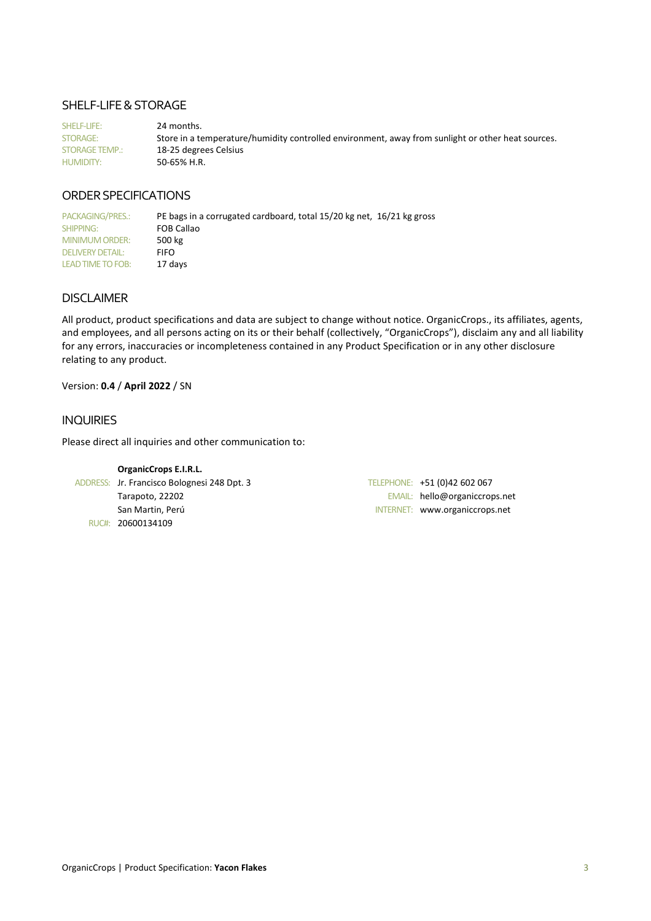## SHELF-LIFE & STORAGE

SHELF-LIFE: 24 months. STORAGE: Store in a temperature/humidity controlled environment, away from sunlight or other heat sources. STORAGE TEMP.: 18-25 degrees Celsius HUMIDITY: 50-65% H.R.

# ORDER SPECIFICATIONS

PACKAGING/PRES.: PE bags in a corrugated cardboard, total 15/20 kg net, 16/21 kg gross SHIPPING: FOB Callao MINIMUM ORDER: 500 kg DELIVERY DETAIL: FIFO LEAD TIME TO FOB: 17 days

## DISCLAIMER

All product, product specifications and data are subject to change without notice. OrganicCrops., its affiliates, agents, and employees, and all persons acting on its or their behalf (collectively, "OrganicCrops"), disclaim any and all liability for any errors, inaccuracies or incompleteness contained in any Product Specification or in any other disclosure relating to any product.

### Version: **0.4** / **April 2022** / SN

### INQUIRIES

Please direct all inquiries and other communication to:

**OrganicCrops E.I.R.L.**  ADDRESS: Jr. Francisco Bolognesi 248 Dpt. 3 TELEPHONE: +51 (0)42 602 067 RUC#: 20600134109

Tarapoto, 22202 EMAIL: hello@organiccrops.net San Martin, Perú INTERNET: www.organiccrops.net